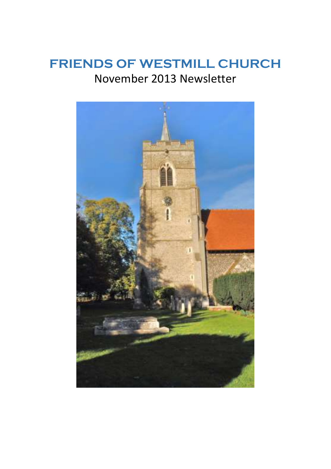## **FRIENDS OF WESTMILL CHURCH** November 2013 Newsletter

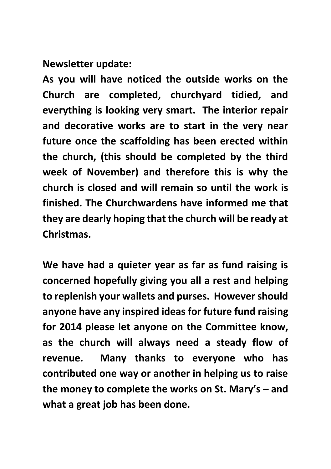**Newsletter update:**

**As you will have noticed the outside works on the Church are completed, churchyard tidied, and everything is looking very smart. The interior repair and decorative works are to start in the very near future once the scaffolding has been erected within the church, (this should be completed by the third week of November) and therefore this is why the church is closed and will remain so until the work is finished. The Churchwardens have informed me that they are dearly hoping that the church will be ready at Christmas.**

**We have had a quieter year as far as fund raising is concerned hopefully giving you all a rest and helping to replenish your wallets and purses. However should anyone have any inspired ideas for future fund raising for 2014 please let anyone on the Committee know, as the church will always need a steady flow of revenue. Many thanks to everyone who has contributed one way or another in helping us to raise the money to complete the works on St. Mary's – and what a great job has been done.**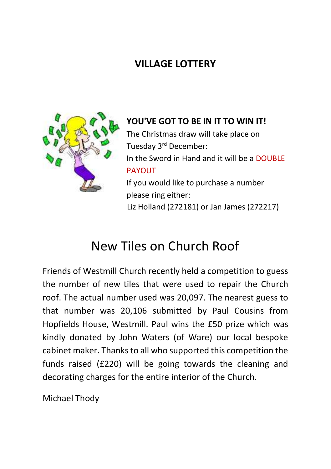## **VILLAGE LOTTERY**



**YOU'VE GOT TO BE IN IT TO WIN IT!** The Christmas draw will take place on Tuesday 3rd December: In the Sword in Hand and it will be a DOUBLE **PAYOUT** If you would like to purchase a number please ring either: Liz Holland (272181) or Jan James (272217)

# New Tiles on Church Roof

Friends of Westmill Church recently held a competition to guess the number of new tiles that were used to repair the Church roof. The actual number used was 20,097. The nearest guess to that number was 20,106 submitted by Paul Cousins from Hopfields House, Westmill. Paul wins the £50 prize which was kindly donated by John Waters (of Ware) our local bespoke cabinet maker. Thanks to all who supported this competition the funds raised (£220) will be going towards the cleaning and decorating charges for the entire interior of the Church.

Michael Thody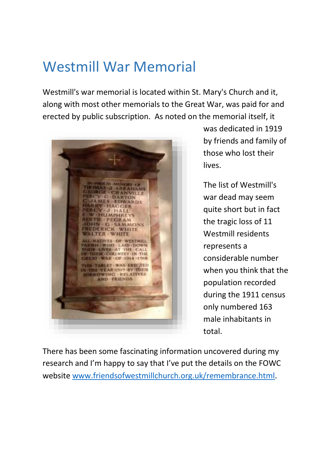# Westmill War Memorial

Westmill's war memorial is located within St. Mary's Church and it, along with most other memorials to the Great War, was paid for and erected by public subscription. As noted on the memorial itself, it



was dedicated in 1919 by friends and family of those who lost their lives.

The list of Westmill's war dead may seem quite short but in fact the tragic loss of 11 Westmill residents represents a considerable number when you think that the population recorded during the 1911 census only numbered 163 male inhabitants in total.

There has been some fascinating information uncovered during my research and I'm happy to say that I've put the details on the FOWC websit[e www.friendsofwestmillchurch.org.uk/remembrance.html.](http://www.friendsofwestmillchurch.org.uk/remembrance.html)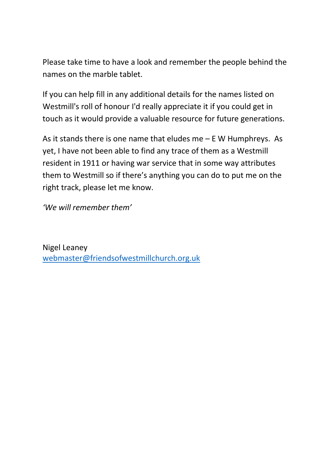Please take time to have a look and remember the people behind the names on the marble tablet.

If you can help fill in any additional details for the names listed on Westmill's roll of honour I'd really appreciate it if you could get in touch as it would provide a valuable resource for future generations.

As it stands there is one name that eludes me – E W Humphreys. As yet, I have not been able to find any trace of them as a Westmill resident in 1911 or having war service that in some way attributes them to Westmill so if there's anything you can do to put me on the right track, please let me know.

*'We will remember them'*

Nigel Leaney [webmaster@friendsofwestmillchurch.org.uk](mailto:webmaster@friendsofwestmillchurch.org.uk)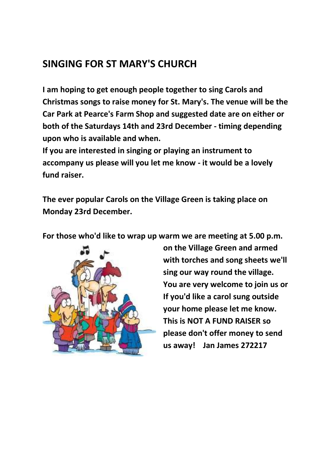### **SINGING FOR ST MARY'S CHURCH**

**I am hoping to get enough people together to sing Carols and Christmas songs to raise money for St. Mary's. The venue will be the Car Park at Pearce's Farm Shop and suggested date are on either or both of the Saturdays 14th and 23rd December - timing depending upon who is available and when.**

**If you are interested in singing or playing an instrument to accompany us please will you let me know - it would be a lovely fund raiser.** 

**The ever popular Carols on the Village Green is taking place on Monday 23rd December.** 

**For those who'd like to wrap up warm we are meeting at 5.00 p.m.** 



**on the Village Green and armed with torches and song sheets we'll sing our way round the village. You are very welcome to join us or If you'd like a carol sung outside your home please let me know. This is NOT A FUND RAISER so please don't offer money to send us away! Jan James 272217**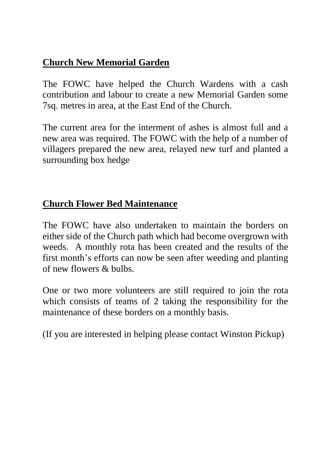#### **Church New Memorial Garden**

The FOWC have helped the Church Wardens with a cash contribution and labour to create a new Memorial Garden some 7sq. metres in area, at the East End of the Church.

The current area for the interment of ashes is almost full and a new area was required. The FOWC with the help of a number of villagers prepared the new area, relayed new turf and planted a surrounding box hedge

#### **Church Flower Bed Maintenance**

The FOWC have also undertaken to maintain the borders on either side of the Church path which had become overgrown with weeds. A monthly rota has been created and the results of the first month's efforts can now be seen after weeding and planting of new flowers & bulbs.

One or two more volunteers are still required to join the rota which consists of teams of 2 taking the responsibility for the maintenance of these borders on a monthly basis.

(If you are interested in helping please contact Winston Pickup)